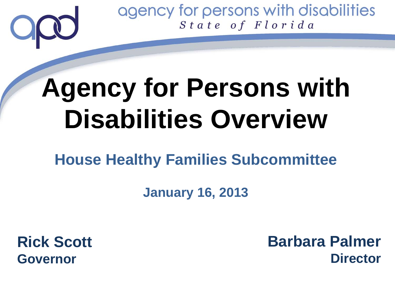# **Agency for Persons with Disabilities Overview**

### **House Healthy Families Subcommittee**

#### **January 16, 2013**

**Rick Scott Governor**

**Barbara Palmer Director**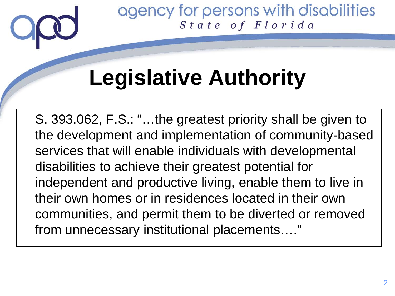

# **Legislative Authority**

S. 393.062, F.S.: "…the greatest priority shall be given to the development and implementation of community-based services that will enable individuals with developmental disabilities to achieve their greatest potential for independent and productive living, enable them to live in their own homes or in residences located in their own communities, and permit them to be diverted or removed from unnecessary institutional placements…."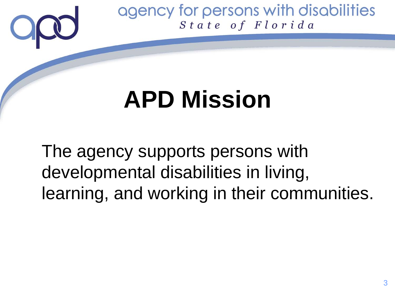# **APD Mission**

The agency supports persons with developmental disabilities in living, learning, and working in their communities.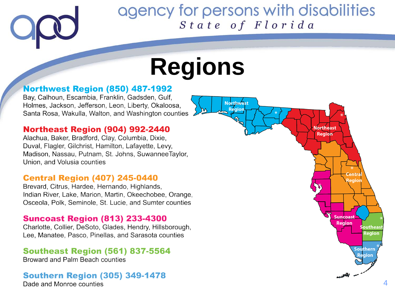**Northwest** 

Region

# **Regions**

#### **Northwest Region (850) 487-1992**

Bay, Calhoun, Escambia, Franklin, Gadsden, Gulf. Holmes, Jackson, Jefferson, Leon, Liberty, Okaloosa, Santa Rosa, Wakulla, Walton, and Washington counties

#### **Northeast Region (904) 992-2440**

Alachua, Baker, Bradford, Clay, Columbia, Dixie, Duval, Flagler, Gilchrist, Hamilton, Lafayette, Levy, Madison, Nassau, Putnam, St. Johns, SuwanneeTaylor, Union, and Volusia counties

#### **Central Region (407) 245-0440**

Brevard, Citrus, Hardee, Hernando, Highlands, Indian River, Lake, Marion, Martin, Okeechobee, Orange. Osceola, Polk, Seminole, St. Lucie, and Sumter counties

#### **Suncoast Region (813) 233-4300**

Charlotte, Collier, DeSoto, Glades, Hendry, Hillsborough, Lee, Manatee, Pasco, Pinellas, and Sarasota counties

#### **Southeast Region (561) 837-5564**

Broward and Palm Beach counties

#### **Southern Region (305) 349-1478**

Dade and Monroe counties

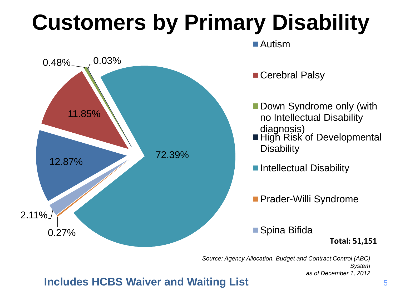# **Customers by Primary Disability**



*Source: Agency Allocation, Budget and Contract Control (ABC) System as of December 1, 2012*

#### **Includes HCBS Waiver and Waiting List**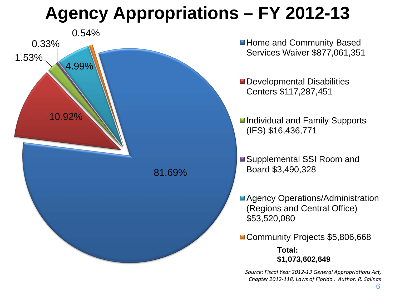## **Agency Appropriations – FY 2012-13**



*Source: Fiscal Year 2012-13 General Appropriations Act, Chapter 2012-118, Laws of Florida . Author: R. Salinas*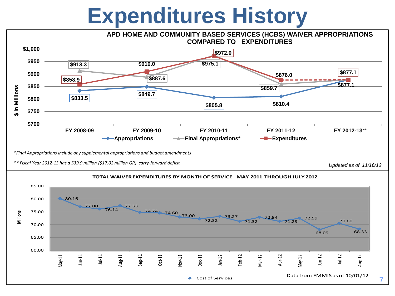# **Expenditures History**



*\*Final Appropriations include any supplemental appropriations and budget amendments* 

*Updated as of 11/16/12 \*\* Fiscal Year 2012-13 has a \$39.9 million (\$17.02 million GR) carry-forward deficit*



**TOTAL WAIVER EXPENDITURES BY MONTH OF SERVICE MAY 2011 THROUGH JULY 2012**

7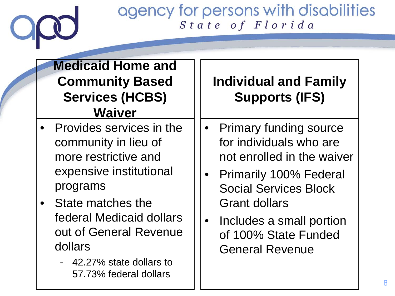#### **Medicaid Home and Community Based Services (HCBS) Waiver**

- Provides services in the community in lieu of more restrictive and expensive institutional programs
- State matches the federal Medicaid dollars out of General Revenue dollars
	- 42.27% state dollars to 57.73% federal dollars

### **Individual and Family Supports (IFS)**

- Primary funding source for individuals who are not enrolled in the waiver
- Primarily 100% Federal Social Services Block Grant dollars
- Includes a small portion of 100% State Funded General Revenue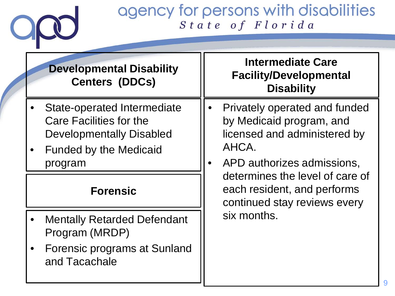# $O_x$

#### agency for persons with disabilities State of Florida

| <b>Developmental Disability</b><br><b>Centers (DDCs)</b>                                                                                     | <b>Intermediate Care</b><br><b>Facility/Developmental</b><br><b>Disability</b>                                                                                                                                                                                 |
|----------------------------------------------------------------------------------------------------------------------------------------------|----------------------------------------------------------------------------------------------------------------------------------------------------------------------------------------------------------------------------------------------------------------|
| <b>State-operated Intermediate</b><br>Care Facilities for the<br><b>Developmentally Disabled</b><br><b>Funded by the Medicaid</b><br>program | Privately operated and funded<br>$\bullet$<br>by Medicaid program, and<br>licensed and administered by<br>AHCA.<br>APD authorizes admissions,<br>determines the level of care of<br>each resident, and performs<br>continued stay reviews every<br>six months. |
| <b>Forensic</b>                                                                                                                              |                                                                                                                                                                                                                                                                |
| <b>Mentally Retarded Defendant</b><br>Program (MRDP)                                                                                         |                                                                                                                                                                                                                                                                |
| <b>Forensic programs at Sunland</b><br>and Tacachale                                                                                         |                                                                                                                                                                                                                                                                |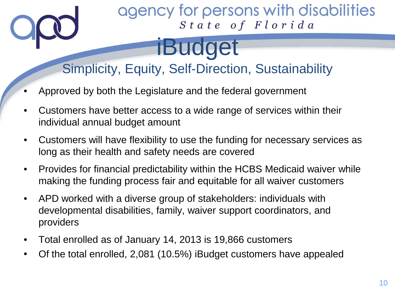### Simplicity, Equity, Self-Direction, Sustainability

iBudget

- Approved by both the Legislature and the federal government
- Customers have better access to a wide range of services within their individual annual budget amount
- Customers will have flexibility to use the funding for necessary services as long as their health and safety needs are covered
- Provides for financial predictability within the HCBS Medicaid waiver while making the funding process fair and equitable for all waiver customers
- APD worked with a diverse group of stakeholders: individuals with developmental disabilities, family, waiver support coordinators, and providers
- Total enrolled as of January 14, 2013 is 19,866 customers
- Of the total enrolled, 2,081 (10.5%) iBudget customers have appealed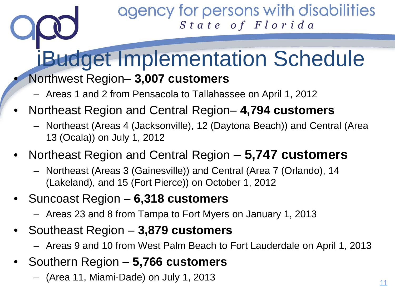# iBudget Implementation Schedule

- Northwest Region– **3,007 customers**
	- Areas 1 and 2 from Pensacola to Tallahassee on April 1, 2012
- Northeast Region and Central Region– **4,794 customers**
	- Northeast (Areas 4 (Jacksonville), 12 (Daytona Beach)) and Central (Area 13 (Ocala)) on July 1, 2012
- Northeast Region and Central Region **5,747 customers**
	- Northeast (Areas 3 (Gainesville)) and Central (Area 7 (Orlando), 14 (Lakeland), and 15 (Fort Pierce)) on October 1, 2012
- Suncoast Region **6,318 customers**
	- Areas 23 and 8 from Tampa to Fort Myers on January 1, 2013
- Southeast Region **3,879 customers**
	- Areas 9 and 10 from West Palm Beach to Fort Lauderdale on April 1, 2013
- Southern Region **5,766 customers**
	- (Area 11, Miami-Dade) on July 1, 2013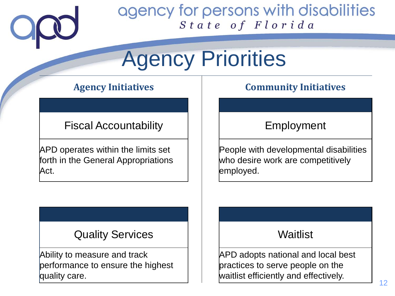

# Agency Priorities

Fiscal Accountability  $\vert \vert \vert$  | Employment

APD operates within the limits set forth in the General Appropriations Act.

#### **Agency Initiatives Community Initiatives**

People with developmental disabilities who desire work are competitively employed.

#### Quality Services Times Number of Waitlist

Ability to measure and track performance to ensure the highest quality care.

APD adopts national and local best practices to serve people on the waitlist efficiently and effectively.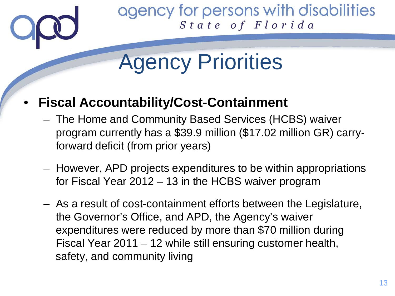

# Agency Priorities

#### • **Fiscal Accountability/Cost-Containment**

- The Home and Community Based Services (HCBS) waiver program currently has a \$39.9 million (\$17.02 million GR) carryforward deficit (from prior years)
- However, APD projects expenditures to be within appropriations for Fiscal Year 2012 – 13 in the HCBS waiver program
- As a result of cost-containment efforts between the Legislature, the Governor's Office, and APD, the Agency's waiver expenditures were reduced by more than \$70 million during Fiscal Year 2011 – 12 while still ensuring customer health, safety, and community living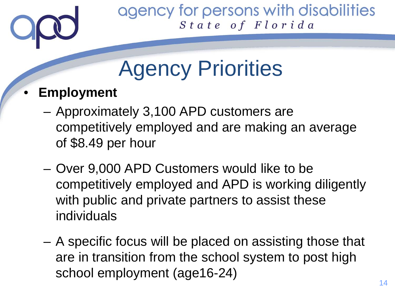

# Agency Priorities

#### • **Employment**

- Approximately 3,100 APD customers are competitively employed and are making an average of \$8.49 per hour
- Over 9,000 APD Customers would like to be competitively employed and APD is working diligently with public and private partners to assist these individuals
- A specific focus will be placed on assisting those that are in transition from the school system to post high school employment (age16-24)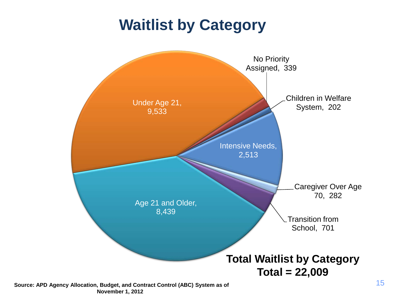### **Waitlist by Category**



**November 1, 2012**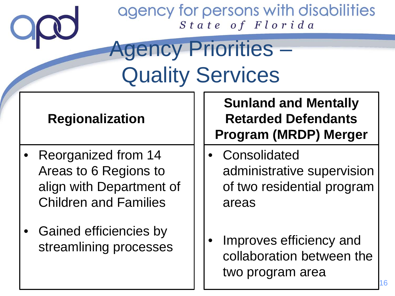# Agency Priorities – Quality Services

#### **Regionalization**

- Reorganized from 14 Areas to 6 Regions to align with Department of Children and Families
- Gained efficiencies by streamlining processes

**Sunland and Mentally Retarded Defendants Program (MRDP) Merger**

- **Consolidated** administrative supervision of two residential program areas
- Improves efficiency and collaboration between the two program area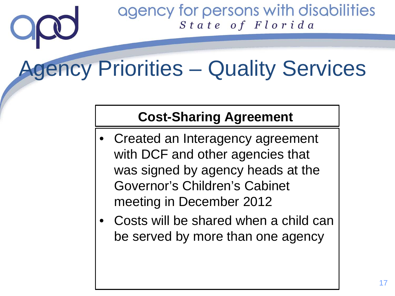# Agency Priorities – Quality Services

#### **Cost-Sharing Agreement**

- Created an Interagency agreement with DCF and other agencies that was signed by agency heads at the Governor's Children's Cabinet meeting in December 2012
- Costs will be shared when a child can be served by more than one agency